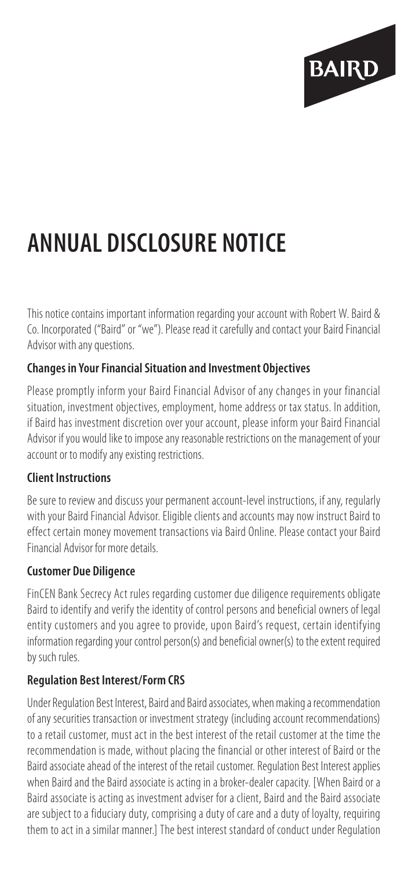

# **ANNUAL DISCLOSURE NOTICE**

This notice contains important information regarding your account with Robert W. Baird & Co. Incorporated ("Baird" or "we"). Please read it carefully and contact your Baird Financial Advisor with any questions.

## **Changes in Your Financial Situation and Investment Objectives**

Please promptly inform your Baird Financial Advisor of any changes in your financial situation, investment objectives, employment, home address or tax status. In addition, if Baird has investment discretion over your account, please inform your Baird Financial Advisor if you would like to impose any reasonable restrictions on the management of your account or to modify any existing restrictions.

#### **Client Instructions**

Be sure to review and discuss your permanent account-level instructions, if any, regularly with your Baird Financial Advisor. Eligible clients and accounts may now instruct Baird to effect certain money movement transactions via Baird Online. Please contact your Baird Financial Advisor for more details.

#### **Customer Due Diligence**

FinCEN Bank Secrecy Act rules regarding customer due diligence requirements obligate Baird to identify and verify the identity of control persons and beneficial owners of legal entity customers and you agree to provide, upon Baird's request, certain identifying information regarding your control person(s) and beneficial owner(s) to the extent required by such rules.

#### **Regulation Best Interest/Form CRS**

Under Regulation Best Interest, Baird and Baird associates, when making a recommendation of any securities transaction or investment strategy (including account recommendations) to a retail customer, must act in the best interest of the retail customer at the time the recommendation is made, without placing the financial or other interest of Baird or the Baird associate ahead of the interest of the retail customer. Regulation Best Interest applies when Baird and the Baird associate is acting in a broker-dealer capacity. [When Baird or a Baird associate is acting as investment adviser for a client, Baird and the Baird associate are subject to a fiduciary duty, comprising a duty of care and a duty of loyalty, requiring them to act in a similar manner.] The best interest standard of conduct under Regulation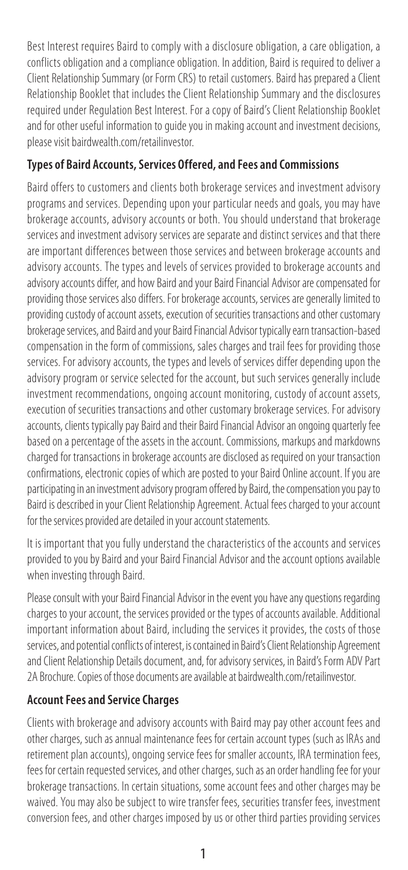Best Interest requires Baird to comply with a disclosure obligation, a care obligation, a conflicts obligation and a compliance obligation. In addition, Baird is required to deliver a Client Relationship Summary (or Form CRS) to retail customers. Baird has prepared a Client Relationship Booklet that includes the Client Relationship Summary and the disclosures required under Regulation Best Interest. For a copy of Baird's Client Relationship Booklet and for other useful information to guide you in making account and investment decisions, please visit bairdwealth.com/retailinvestor.

## **Types of Baird Accounts, Services Offered, and Fees and Commissions**

Baird offers to customers and clients both brokerage services and investment advisory programs and services. Depending upon your particular needs and goals, you may have brokerage accounts, advisory accounts or both. You should understand that brokerage services and investment advisory services are separate and distinct services and that there are important differences between those services and between brokerage accounts and advisory accounts. The types and levels of services provided to brokerage accounts and advisory accounts differ, and how Baird and your Baird Financial Advisor are compensated for providing those services also differs. For brokerage accounts, services are generally limited to providing custody of account assets, execution of securities transactions and other customary brokerage services, and Baird and your Baird Financial Advisor typically earn transaction-based compensation in the form of commissions, sales charges and trail fees for providing those services. For advisory accounts, the types and levels of services differ depending upon the advisory program or service selected for the account, but such services generally include investment recommendations, ongoing account monitoring, custody of account assets, execution of securities transactions and other customary brokerage services. For advisory accounts, clients typically pay Baird and their Baird Financial Advisor an ongoing quarterly fee based on a percentage of the assets in the account. Commissions, markups and markdowns charged for transactions in brokerage accounts are disclosed as required on your transaction confirmations, electronic copies of which are posted to your Baird Online account. If you are participating in an investment advisory program offered by Baird, the compensation you pay to Baird is described in your Client Relationship Agreement. Actual fees charged to your account for the services provided are detailed in your account statements.

It is important that you fully understand the characteristics of the accounts and services provided to you by Baird and your Baird Financial Advisor and the account options available when investing through Baird.

Please consult with your Baird Financial Advisor in the event you have any questions regarding charges to your account, the services provided or the types of accounts available. Additional important information about Baird, including the services it provides, the costs of those services, and potential conflicts of interest, is contained in Baird's Client Relationship Agreement and Client Relationship Details document, and, for advisory services, in Baird's Form ADV Part 2A Brochure. Copies of those documents are available at bairdwealth.com/retailinvestor.

## **Account Fees and Service Charges**

Clients with brokerage and advisory accounts with Baird may pay other account fees and other charges, such as annual maintenance fees for certain account types (such as IRAs and retirement plan accounts), ongoing service fees for smaller accounts, IRA termination fees, fees for certain requested services, and other charges, such as an order handling fee for your brokerage transactions. In certain situations, some account fees and other charges may be waived. You may also be subject to wire transfer fees, securities transfer fees, investment conversion fees, and other charges imposed by us or other third parties providing services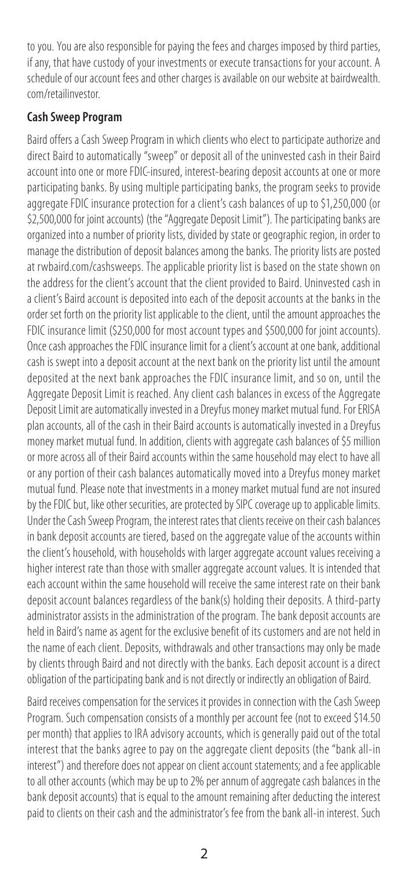to you. You are also responsible for paying the fees and charges imposed by third parties, if any, that have custody of your investments or execute transactions for your account. A schedule of our account fees and other charges is available on our website at bairdwealth. com/retailinvestor.

## **Cash Sweep Program**

Baird offers a Cash Sweep Program in which clients who elect to participate authorize and direct Baird to automatically "sweep" or deposit all of the uninvested cash in their Baird account into one or more FDIC-insured, interest-bearing deposit accounts at one or more participating banks. By using multiple participating banks, the program seeks to provide aggregate FDIC insurance protection for a client's cash balances of up to \$1,250,000 (or \$2,500,000 for joint accounts) (the "Aggregate Deposit Limit"). The participating banks are organized into a number of priority lists, divided by state or geographic region, in order to manage the distribution of deposit balances among the banks. The priority lists are posted at rwbaird.com/cashsweeps. The applicable priority list is based on the state shown on the address for the client's account that the client provided to Baird. Uninvested cash in a client's Baird account is deposited into each of the deposit accounts at the banks in the order set forth on the priority list applicable to the client, until the amount approaches the FDIC insurance limit (\$250,000 for most account types and \$500,000 for joint accounts). Once cash approaches the FDIC insurance limit for a client's account at one bank, additional cash is swept into a deposit account at the next bank on the priority list until the amount deposited at the next bank approaches the FDIC insurance limit, and so on, until the Aggregate Deposit Limit is reached. Any client cash balances in excess of the Aggregate Deposit Limit are automatically invested in a Dreyfus money market mutual fund. For ERISA plan accounts, all of the cash in their Baird accounts is automatically invested in a Dreyfus money market mutual fund. In addition, clients with aggregate cash balances of \$5 million or more across all of their Baird accounts within the same household may elect to have all or any portion of their cash balances automatically moved into a Dreyfus money market mutual fund. Please note that investments in a money market mutual fund are not insured by the FDIC but, like other securities, are protected by SIPC coverage up to applicable limits. Under the Cash Sweep Program, the interest rates that clients receive on their cash balances in bank deposit accounts are tiered, based on the aggregate value of the accounts within the client's household, with households with larger aggregate account values receiving a higher interest rate than those with smaller aggregate account values. It is intended that each account within the same household will receive the same interest rate on their bank deposit account balances regardless of the bank(s) holding their deposits. A third-party administrator assists in the administration of the program. The bank deposit accounts are held in Baird's name as agent for the exclusive benefit of its customers and are not held in the name of each client. Deposits, withdrawals and other transactions may only be made by clients through Baird and not directly with the banks. Each deposit account is a direct obligation of the participating bank and is not directly or indirectly an obligation of Baird.

Baird receives compensation for the services it provides in connection with the Cash Sweep Program. Such compensation consists of a monthly per account fee (not to exceed \$14.50 per month) that applies to IRA advisory accounts, which is generally paid out of the total interest that the banks agree to pay on the aggregate client deposits (the "bank all-in interest") and therefore does not appear on client account statements; and a fee applicable to all other accounts (which may be up to 2% per annum of aggregate cash balances in the bank deposit accounts) that is equal to the amount remaining after deducting the interest paid to clients on their cash and the administrator's fee from the bank all-in interest. Such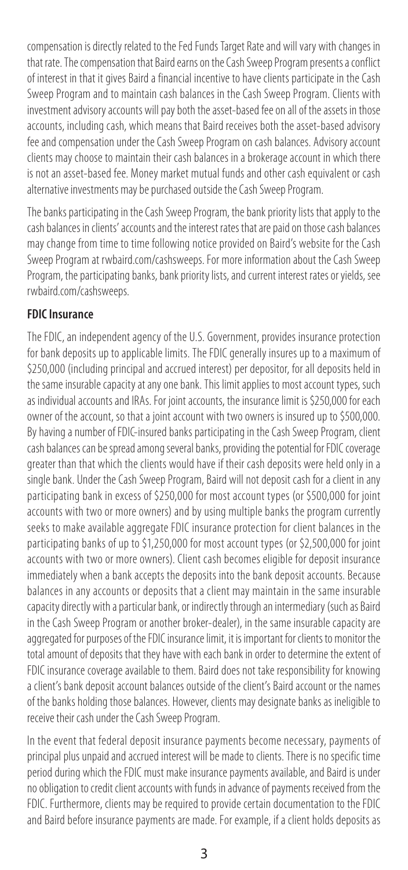compensation is directly related to the Fed Funds Target Rate and will vary with changes in that rate. The compensation that Baird earns on the Cash Sweep Program presents a conflict of interest in that it gives Baird a financial incentive to have clients participate in the Cash Sweep Program and to maintain cash balances in the Cash Sweep Program. Clients with investment advisory accounts will pay both the asset-based fee on all of the assets in those accounts, including cash, which means that Baird receives both the asset-based advisory fee and compensation under the Cash Sweep Program on cash balances. Advisory account clients may choose to maintain their cash balances in a brokerage account in which there is not an asset-based fee. Money market mutual funds and other cash equivalent or cash alternative investments may be purchased outside the Cash Sweep Program.

The banks participating in the Cash Sweep Program, the bank priority lists that apply to the cash balances in clients' accounts and the interest rates that are paid on those cash balances may change from time to time following notice provided on Baird's website for the Cash Sweep Program at rwbaird.com/cashsweeps. For more information about the Cash Sweep Program, the participating banks, bank priority lists, and current interest rates or yields, see rwbaird.com/cashsweeps.

#### **FDIC Insurance**

The FDIC, an independent agency of the U.S. Government, provides insurance protection for bank deposits up to applicable limits. The FDIC generally insures up to a maximum of \$250,000 (including principal and accrued interest) per depositor, for all deposits held in the same insurable capacity at any one bank. This limit applies to most account types, such as individual accounts and IRAs. For joint accounts, the insurance limit is \$250,000 for each owner of the account, so that a joint account with two owners is insured up to \$500,000. By having a number of FDIC-insured banks participating in the Cash Sweep Program, client cash balances can be spread among several banks, providing the potential for FDIC coverage greater than that which the clients would have if their cash deposits were held only in a single bank. Under the Cash Sweep Program, Baird will not deposit cash for a client in any participating bank in excess of \$250,000 for most account types (or \$500,000 for joint accounts with two or more owners) and by using multiple banks the program currently seeks to make available aggregate FDIC insurance protection for client balances in the participating banks of up to \$1,250,000 for most account types (or \$2,500,000 for joint accounts with two or more owners). Client cash becomes eligible for deposit insurance immediately when a bank accepts the deposits into the bank deposit accounts. Because balances in any accounts or deposits that a client may maintain in the same insurable capacity directly with a particular bank, or indirectly through an intermediary (such as Baird in the Cash Sweep Program or another broker-dealer), in the same insurable capacity are aggregated for purposes of the FDIC insurance limit, it is important for clients to monitor the total amount of deposits that they have with each bank in order to determine the extent of FDIC insurance coverage available to them. Baird does not take responsibility for knowing a client's bank deposit account balances outside of the client's Baird account or the names of the banks holding those balances. However, clients may designate banks as ineligible to receive their cash under the Cash Sweep Program.

In the event that federal deposit insurance payments become necessary, payments of principal plus unpaid and accrued interest will be made to clients. There is no specific time period during which the FDIC must make insurance payments available, and Baird is under no obligation to credit client accounts with funds in advance of payments received from the FDIC. Furthermore, clients may be required to provide certain documentation to the FDIC and Baird before insurance payments are made. For example, if a client holds deposits as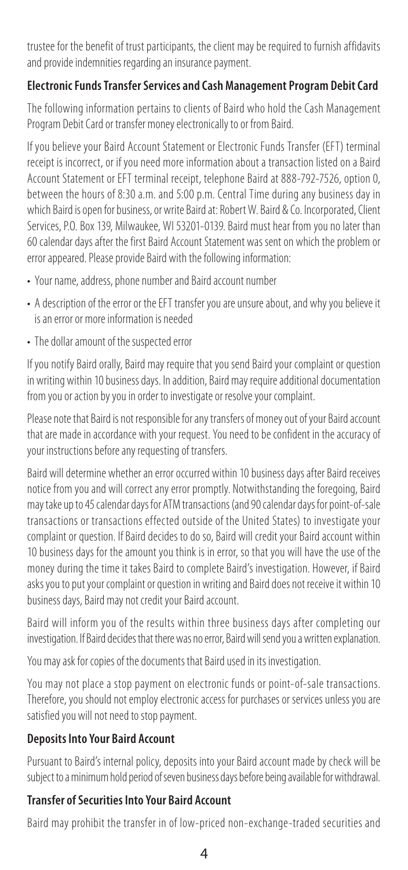trustee for the benefit of trust participants, the client may be required to furnish affidavits and provide indemnities regarding an insurance payment.

## **Electronic Funds Transfer Services and Cash Management Program Debit Card**

The following information pertains to clients of Baird who hold the Cash Management Program Debit Card or transfer money electronically to or from Baird.

If you believe your Baird Account Statement or Electronic Funds Transfer (EFT) terminal receipt is incorrect, or if you need more information about a transaction listed on a Baird Account Statement or EFT terminal receipt, telephone Baird at 888-792-7526, option 0, between the hours of 8:30 a.m. and 5:00 p.m. Central Time during any business day in which Baird is open for business, or write Baird at: Robert W. Baird & Co. Incorporated, Client Services, P.O. Box 139, Milwaukee, WI 53201-0139. Baird must hear from you no later than 60 calendar days after the first Baird Account Statement was sent on which the problem or error appeared. Please provide Baird with the following information:

- Your name, address, phone number and Baird account number
- A description of the error or the EFT transfer you are unsure about, and why you believe it is an error or more information is needed
- The dollar amount of the suspected error

If you notify Baird orally, Baird may require that you send Baird your complaint or question in writing within 10 business days. In addition, Baird may require additional documentation from you or action by you in order to investigate or resolve your complaint.

Please note that Baird is not responsible for any transfers of money out of your Baird account that are made in accordance with your request. You need to be confident in the accuracy of your instructions before any requesting of transfers.

Baird will determine whether an error occurred within 10 business days after Baird receives notice from you and will correct any error promptly. Notwithstanding the foregoing, Baird may take up to 45 calendar days for ATM transactions (and 90 calendar days for point-of-sale transactions or transactions effected outside of the United States) to investigate your complaint or question. If Baird decides to do so, Baird will credit your Baird account within 10 business days for the amount you think is in error, so that you will have the use of the money during the time it takes Baird to complete Baird's investigation. However, if Baird asks you to put your complaint or question in writing and Baird does not receive it within 10 business days, Baird may not credit your Baird account.

Baird will inform you of the results within three business days after completing our investigation. If Baird decides that there was no error, Baird will send you a written explanation.

You may ask for copies of the documents that Baird used in its investigation.

You may not place a stop payment on electronic funds or point-of-sale transactions. Therefore, you should not employ electronic access for purchases or services unless you are satisfied you will not need to stop payment.

## **Deposits Into Your Baird Account**

Pursuant to Baird's internal policy, deposits into your Baird account made by check will be subject to a minimum hold period of seven business days before being available for withdrawal.

## **Transfer of Securities Into Your Baird Account**

Baird may prohibit the transfer in of low-priced non-exchange-traded securities and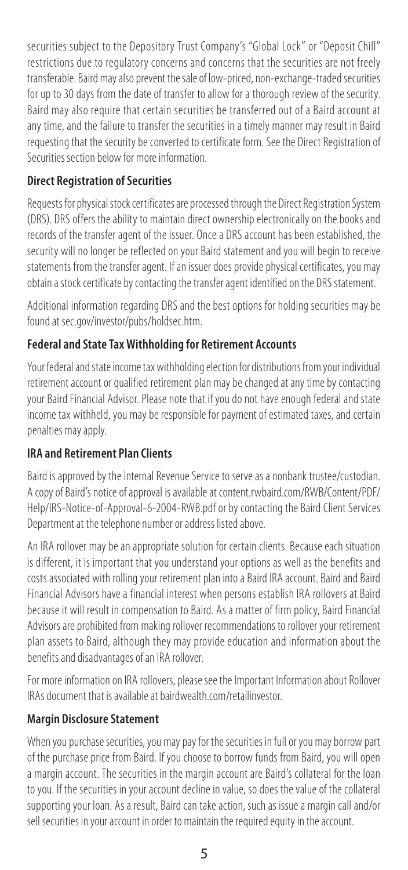securities subject to the Depository Trust Company's "Global Lock" or "Deposit Chill" restrictions due to regulatory concerns and concerns that the securities are not freely transferable. Baird may also prevent the sale of low-priced, non-exchange-traded securities for up to 30 days from the date of transfer to allow for a thorough review of the security. Baird may also require that certain securities be transferred out of a Baird account at any time, and the failure to transfer the securities in a timely manner may result in Baird requesting that the security be converted to certificate form. See the Direct Registration of Securities section below for more information.

## **Direct Registration of Securities**

Requests for physical stock certificates are processed through the Direct Registration System (DRS). DRS offers the ability to maintain direct ownership electronically on the books and records of the transfer agent of the issuer. Once a DRS account has been established, the security will no longer be reflected on your Baird statement and you will begin to receive statements from the transfer agent. If an issuer does provide physical certificates, you may obtain a stock certificate by contacting the transfer agent identified on the DRS statement.

Additional information regarding DRS and the best options for holding securities may be found at sec.gov/investor/pubs/holdsec.htm.

## **Federal and State Tax Withholding for Retirement Accounts**

Your federal and state income tax withholding election for distributions from your individual retirement account or qualified retirement plan may be changed at any time by contacting your Baird Financial Advisor. Please note that if you do not have enough federal and state income tax withheld, you may be responsible for payment of estimated taxes, and certain penalties may apply.

## **IRA and Retirement Plan Clients**

Baird is approved by the Internal Revenue Service to serve as a nonbank trustee/custodian. A copy of Baird's notice of approval is available at content.rwbaird.com/RWB/Content/PDF/ Help/IRS-Notice-of-Approval-6-2004-RWB.pdf or by contacting the Baird Client Services Department at the telephone number or address listed above.

An IRA rollover may be an appropriate solution for certain clients. Because each situation is different, it is important that you understand your options as well as the benefits and costs associated with rolling your retirement plan into a Baird IRA account. Baird and Baird Financial Advisors have a financial interest when persons establish IRA rollovers at Baird because it will result in compensation to Baird. As a matter of firm policy, Baird Financial Advisors are prohibited from making rollover recommendations to rollover your retirement plan assets to Baird, although they may provide education and information about the benefits and disadvantages of an IRA rollover.

For more information on IRA rollovers, please see the Important Information about Rollover IRAs document that is available at bairdwealth.com/retailinvestor.

## **Margin Disclosure Statement**

When you purchase securities, you may pay for the securities in full or you may borrow part of the purchase price from Baird. If you choose to borrow funds from Baird, you will open a margin account. The securities in the margin account are Baird's collateral for the loan to you. If the securities in your account decline in value, so does the value of the collateral supporting your loan. As a result, Baird can take action, such as issue a margin call and/or sell securities in your account in order to maintain the required equity in the account.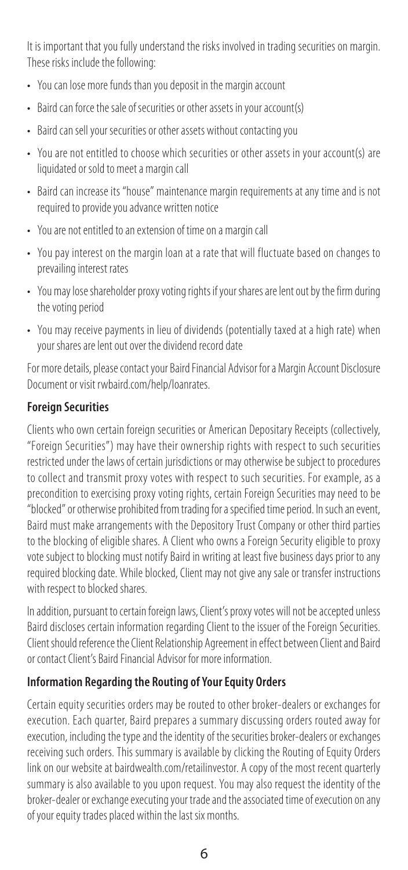It is important that you fully understand the risks involved in trading securities on margin. These risks include the following:

- You can lose more funds than you deposit in the margin account
- Baird can force the sale of securities or other assets in your account(s)
- Baird can sell your securities or other assets without contacting you
- You are not entitled to choose which securities or other assets in your account(s) are liquidated or sold to meet a margin call
- Baird can increase its "house" maintenance margin requirements at any time and is not required to provide you advance written notice
- You are not entitled to an extension of time on a margin call
- You pay interest on the margin loan at a rate that will fluctuate based on changes to prevailing interest rates
- You may lose shareholder proxy voting rights if your shares are lent out by the firm during the voting period
- You may receive payments in lieu of dividends (potentially taxed at a high rate) when your shares are lent out over the dividend record date

For more details, please contact your Baird Financial Advisor for a Margin Account Disclosure Document or visit rwbaird.com/help/loanrates.

## **Foreign Securities**

Clients who own certain foreign securities or American Depositary Receipts (collectively, "Foreign Securities") may have their ownership rights with respect to such securities restricted under the laws of certain jurisdictions or may otherwise be subject to procedures to collect and transmit proxy votes with respect to such securities. For example, as a precondition to exercising proxy voting rights, certain Foreign Securities may need to be "blocked" or otherwise prohibited from trading for a specified time period. In such an event, Baird must make arrangements with the Depository Trust Company or other third parties to the blocking of eligible shares. A Client who owns a Foreign Security eligible to proxy vote subject to blocking must notify Baird in writing at least five business days prior to any required blocking date. While blocked, Client may not give any sale or transfer instructions with respect to blocked shares.

In addition, pursuant to certain foreign laws, Client's proxy votes will not be accepted unless Baird discloses certain information regarding Client to the issuer of the Foreign Securities. Client should reference the Client Relationship Agreement in effect between Client and Baird or contact Client's Baird Financial Advisor for more information.

## **Information Regarding the Routing of Your Equity Orders**

Certain equity securities orders may be routed to other broker-dealers or exchanges for execution. Each quarter, Baird prepares a summary discussing orders routed away for execution, including the type and the identity of the securities broker-dealers or exchanges receiving such orders. This summary is available by clicking the Routing of Equity Orders link on our website at bairdwealth.com/retailinvestor. A copy of the most recent quarterly summary is also available to you upon request. You may also request the identity of the broker-dealer or exchange executing your trade and the associated time of execution on any of your equity trades placed within the last six months.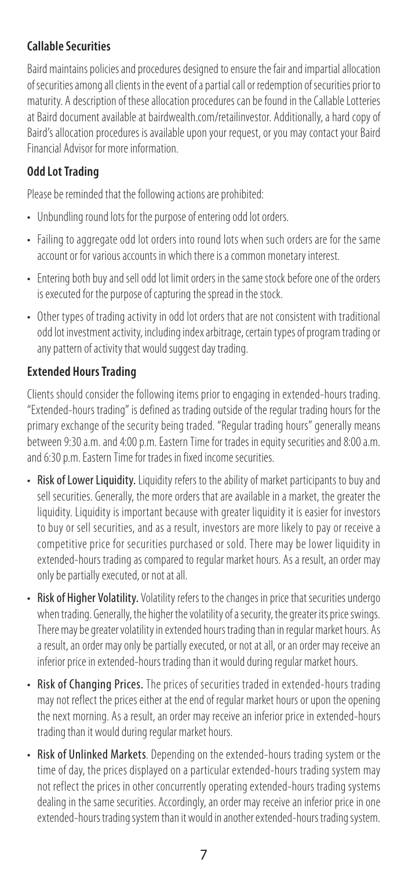## **Callable Securities**

Baird maintains policies and procedures designed to ensure the fair and impartial allocation of securities among all clients in the event of a partial call or redemption of securities prior to maturity. A description of these allocation procedures can be found in the Callable Lotteries at Baird document available at bairdwealth.com/retailinvestor. Additionally, a hard copy of Baird's allocation procedures is available upon your request, or you may contact your Baird Financial Advisor for more information.

## **Odd Lot Trading**

Please be reminded that the following actions are prohibited:

- Unbundling round lots for the purpose of entering odd lot orders.
- Failing to aggregate odd lot orders into round lots when such orders are for the same account or for various accounts in which there is a common monetary interest.
- Entering both buy and sell odd lot limit orders in the same stock before one of the orders is executed for the purpose of capturing the spread in the stock.
- Other types of trading activity in odd lot orders that are not consistent with traditional odd lot investment activity, including index arbitrage, certain types of program trading or any pattern of activity that would suggest day trading.

## **Extended Hours Trading**

Clients should consider the following items prior to engaging in extended-hours trading. "Extended-hours trading" is defined as trading outside of the regular trading hours for the primary exchange of the security being traded. "Regular trading hours" generally means between 9:30 a.m. and 4:00 p.m. Eastern Time for trades in equity securities and 8:00 a.m. and 6:30 p.m. Eastern Time for trades in fixed income securities.

- Risk of Lower Liquidity. Liquidity refers to the ability of market participants to buy and sell securities. Generally, the more orders that are available in a market, the greater the liquidity. Liquidity is important because with greater liquidity it is easier for investors to buy or sell securities, and as a result, investors are more likely to pay or receive a competitive price for securities purchased or sold. There may be lower liquidity in extended-hours trading as compared to regular market hours. As a result, an order may only be partially executed, or not at all.
- Risk of Higher Volatility. Volatility refers to the changes in price that securities undergo when trading. Generally, the higher the volatility of a security, the greater its price swings. There may be greater volatility in extended hours trading than in regular market hours. As a result, an order may only be partially executed, or not at all, or an order may receive an inferior price in extended-hours trading than it would during regular market hours.
- Risk of Changing Prices. The prices of securities traded in extended-hours trading may not reflect the prices either at the end of regular market hours or upon the opening the next morning. As a result, an order may receive an inferior price in extended-hours trading than it would during regular market hours.
- Risk of Unlinked Markets. Depending on the extended-hours trading system or the time of day, the prices displayed on a particular extended-hours trading system may not reflect the prices in other concurrently operating extended-hours trading systems dealing in the same securities. Accordingly, an order may receive an inferior price in one extended-hours trading system than it would in another extended-hours trading system.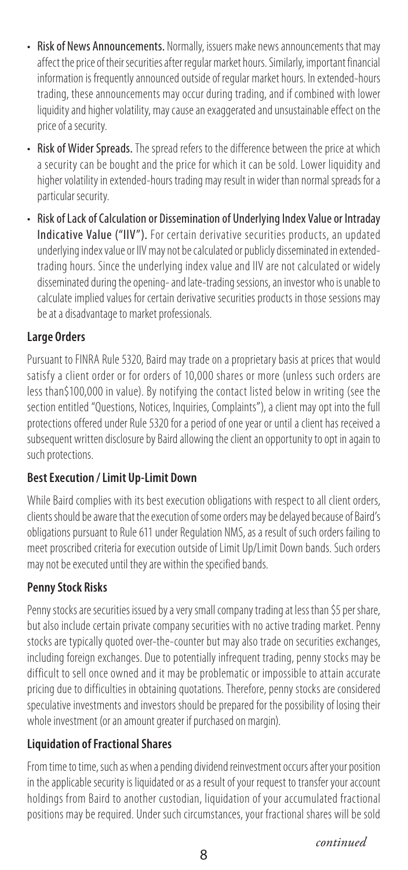- Risk of News Announcements. Normally, issuers make news announcements that may affect the price of their securities after regular market hours. Similarly, important financial information is frequently announced outside of regular market hours. In extended-hours trading, these announcements may occur during trading, and if combined with lower liquidity and higher volatility, may cause an exaggerated and unsustainable effect on the price of a security.
- Risk of Wider Spreads. The spread refers to the difference between the price at which a security can be bought and the price for which it can be sold. Lower liquidity and higher volatility in extended-hours trading may result in wider than normal spreads for a particular security.
- Risk of Lack of Calculation or Dissemination of Underlying Index Value or Intraday Indicative Value ("IIV"). For certain derivative securities products, an updated underlying index value or IIV may not be calculated or publicly disseminated in extendedtrading hours. Since the underlying index value and IIV are not calculated or widely disseminated during the opening- and late-trading sessions, an investor who is unable to calculate implied values for certain derivative securities products in those sessions may be at a disadvantage to market professionals.

## **Large Orders**

Pursuant to FINRA Rule 5320, Baird may trade on a proprietary basis at prices that would satisfy a client order or for orders of 10,000 shares or more (unless such orders are less than\$100,000 in value). By notifying the contact listed below in writing (see the section entitled "Questions, Notices, Inquiries, Complaints"), a client may opt into the full protections offered under Rule 5320 for a period of one year or until a client has received a subsequent written disclosure by Baird allowing the client an opportunity to opt in again to such protections.

## **Best Execution / Limit Up-Limit Down**

While Baird complies with its best execution obligations with respect to all client orders, clients should be aware that the execution of some orders may be delayed because of Baird's obligations pursuant to Rule 611 under Regulation NMS, as a result of such orders failing to meet proscribed criteria for execution outside of Limit Up/Limit Down bands. Such orders may not be executed until they are within the specified bands.

## **Penny Stock Risks**

Penny stocks are securities issued by a very small company trading at less than \$5 per share, but also include certain private company securities with no active trading market. Penny stocks are typically quoted over-the-counter but may also trade on securities exchanges, including foreign exchanges. Due to potentially infrequent trading, penny stocks may be difficult to sell once owned and it may be problematic or impossible to attain accurate pricing due to difficulties in obtaining quotations. Therefore, penny stocks are considered speculative investments and investors should be prepared for the possibility of losing their whole investment (or an amount greater if purchased on margin).

## **Liquidation of Fractional Shares**

From time to time, such as when a pending dividend reinvestment occurs after your position in the applicable security is liquidated or as a result of your request to transfer your account holdings from Baird to another custodian, liquidation of your accumulated fractional positions may be required. Under such circumstances, your fractional shares will be sold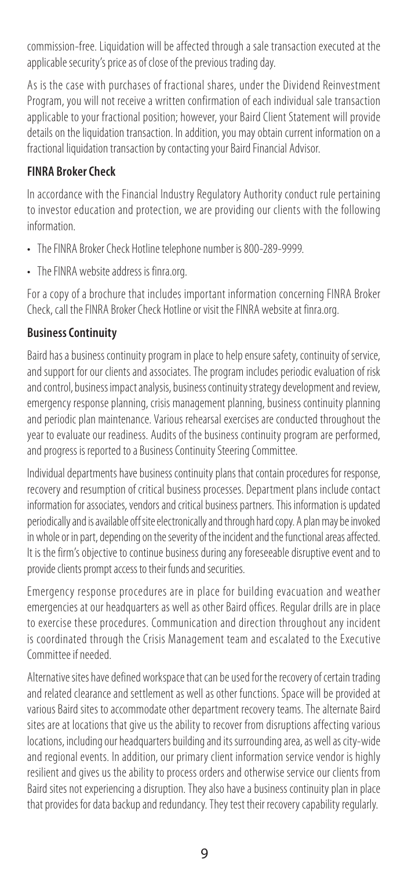commission-free. Liquidation will be affected through a sale transaction executed at the applicable security's price as of close of the previous trading day.

As is the case with purchases of fractional shares, under the Dividend Reinvestment Program, you will not receive a written confirmation of each individual sale transaction applicable to your fractional position; however, your Baird Client Statement will provide details on the liquidation transaction. In addition, you may obtain current information on a fractional liquidation transaction by contacting your Baird Financial Advisor.

## **FINRA Broker Check**

In accordance with the Financial Industry Regulatory Authority conduct rule pertaining to investor education and protection, we are providing our clients with the following information.

- The FINRA Broker Check Hotline telephone number is 800-289-9999.
- The FINRA website address is finra.org.

For a copy of a brochure that includes important information concerning FINRA Broker Check, call the FINRA Broker Check Hotline or visit the FINRA website at finra.org.

## **Business Continuity**

Baird has a business continuity program in place to help ensure safety, continuity of service, and support for our clients and associates. The program includes periodic evaluation of risk and control, business impact analysis, business continuity strategy development and review, emergency response planning, crisis management planning, business continuity planning and periodic plan maintenance. Various rehearsal exercises are conducted throughout the year to evaluate our readiness. Audits of the business continuity program are performed, and progress is reported to a Business Continuity Steering Committee.

Individual departments have business continuity plans that contain procedures for response, recovery and resumption of critical business processes. Department plans include contact information for associates, vendors and critical business partners. This information is updated periodically and is available off site electronically and through hard copy. A plan may be invoked in whole or in part, depending on the severity of the incident and the functional areas affected. It is the firm's objective to continue business during any foreseeable disruptive event and to provide clients prompt access to their funds and securities.

Emergency response procedures are in place for building evacuation and weather emergencies at our headquarters as well as other Baird offices. Regular drills are in place to exercise these procedures. Communication and direction throughout any incident is coordinated through the Crisis Management team and escalated to the Executive Committee if needed.

Alternative sites have defined workspace that can be used for the recovery of certain trading and related clearance and settlement as well as other functions. Space will be provided at various Baird sites to accommodate other department recovery teams. The alternate Baird sites are at locations that give us the ability to recover from disruptions affecting various locations, including our headquarters building and its surrounding area, as well as city-wide and regional events. In addition, our primary client information service vendor is highly resilient and gives us the ability to process orders and otherwise service our clients from Baird sites not experiencing a disruption. They also have a business continuity plan in place that provides for data backup and redundancy. They test their recovery capability regularly.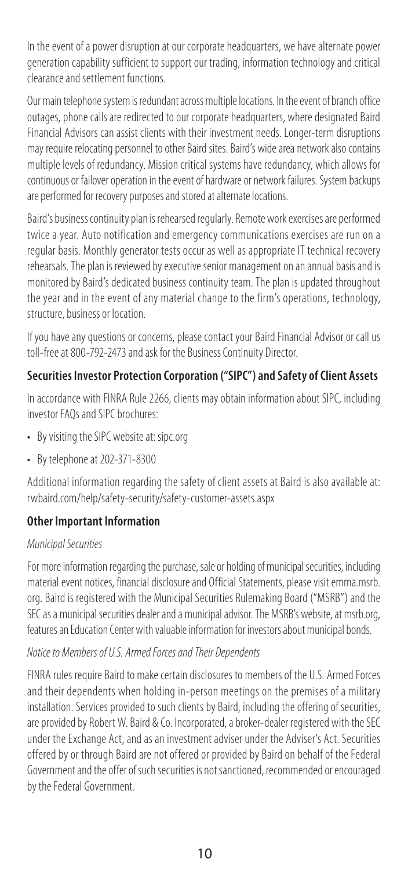In the event of a power disruption at our corporate headquarters, we have alternate power generation capability sufficient to support our trading, information technology and critical clearance and settlement functions.

Our main telephone system is redundant across multiple locations. In the event of branch office outages, phone calls are redirected to our corporate headquarters, where designated Baird Financial Advisors can assist clients with their investment needs. Longer-term disruptions may require relocating personnel to other Baird sites. Baird's wide area network also contains multiple levels of redundancy. Mission critical systems have redundancy, which allows for continuous or failover operation in the event of hardware or network failures. System backups are performed for recovery purposes and stored at alternate locations.

Baird's business continuity plan is rehearsed regularly. Remote work exercises are performed twice a year. Auto notification and emergency communications exercises are run on a regular basis. Monthly generator tests occur as well as appropriate IT technical recovery rehearsals. The plan is reviewed by executive senior management on an annual basis and is monitored by Baird's dedicated business continuity team. The plan is updated throughout the year and in the event of any material change to the firm's operations, technology, structure, business or location.

If you have any questions or concerns, please contact your Baird Financial Advisor or call us toll-free at 800-792-2473 and ask for the Business Continuity Director.

## **Securities Investor Protection Corporation ("SIPC") and Safety of Client Assets**

In accordance with FINRA Rule 2266, clients may obtain information about SIPC, including investor FAQs and SIPC brochures:

- By visiting the SIPC website at: sipc.org
- By telephone at 202-371-8300

Additional information regarding the safety of client assets at Baird is also available at: rwbaird.com/help/safety-security/safety-customer-assets.aspx

#### **Other Important Information**

#### *Municipal Securities*

For more information regarding the purchase, sale or holding of municipal securities, including material event notices, financial disclosure and Official Statements, please visit emma.msrb. org. Baird is registered with the Municipal Securities Rulemaking Board ("MSRB") and the SEC as a municipal securities dealer and a municipal advisor. The MSRB's website, at msrb.org, features an Education Center with valuable information for investors about municipal bonds.

#### *Notice to Members of U.S. Armed Forces and Their Dependents*

FINRA rules require Baird to make certain disclosures to members of the U.S. Armed Forces and their dependents when holding in-person meetings on the premises of a military installation. Services provided to such clients by Baird, including the offering of securities, are provided by Robert W. Baird & Co. Incorporated, a broker-dealer registered with the SEC under the Exchange Act, and as an investment adviser under the Adviser's Act. Securities offered by or through Baird are not offered or provided by Baird on behalf of the Federal Government and the offer of such securities is not sanctioned, recommended or encouraged by the Federal Government.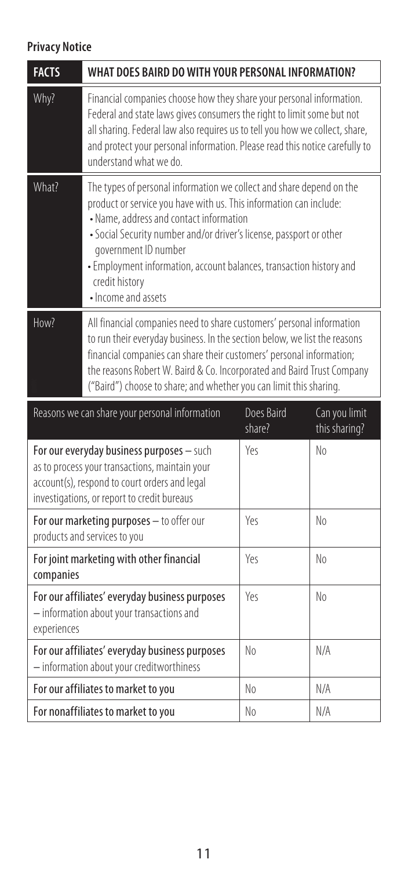# **Privacy Notice**

| <b>FACTS</b> | WHAT DOES BAIRD DO WITH YOUR PERSONAL INFORMATION?                                                                                                                                                                                                                                                                                                                                                   |                      |                                |
|--------------|------------------------------------------------------------------------------------------------------------------------------------------------------------------------------------------------------------------------------------------------------------------------------------------------------------------------------------------------------------------------------------------------------|----------------------|--------------------------------|
| Why?         | Financial companies choose how they share your personal information.<br>Federal and state laws gives consumers the right to limit some but not<br>all sharing. Federal law also requires us to tell you how we collect, share,<br>and protect your personal information. Please read this notice carefully to<br>understand what we do                                                               |                      |                                |
| What?        | The types of personal information we collect and share depend on the<br>product or service you have with us. This information can include:<br>• Name, address and contact information<br>· Social Security number and/or driver's license, passport or other<br>government ID number<br>· Employment information, account balances, transaction history and<br>credit history<br>· Income and assets |                      |                                |
| How?         | All financial companies need to share customers' personal information<br>to run their everyday business. In the section below, we list the reasons<br>financial companies can share their customers' personal information;<br>the reasons Robert W. Baird & Co. Incorporated and Baird Trust Company<br>("Baird") choose to share; and whether you can limit this sharing.                           |                      |                                |
|              |                                                                                                                                                                                                                                                                                                                                                                                                      |                      |                                |
|              | Reasons we can share your personal information                                                                                                                                                                                                                                                                                                                                                       | Does Baird<br>share? | Can you limit<br>this sharing? |
|              | For our everyday business purposes - such<br>as to process your transactions, maintain your<br>account(s), respond to court orders and legal<br>investigations, or report to credit bureaus                                                                                                                                                                                                          | Yes                  | No                             |
|              | For our marketing purposes - to offer our<br>products and services to you                                                                                                                                                                                                                                                                                                                            | Yρς                  | No                             |
| companies    | For joint marketing with other financial                                                                                                                                                                                                                                                                                                                                                             | Yes                  | No                             |
| experiences  | For our affiliates' everyday business purposes<br>- information about your transactions and                                                                                                                                                                                                                                                                                                          | Yes                  | No                             |
|              | For our affiliates' everyday business purposes<br>- information about your creditworthiness                                                                                                                                                                                                                                                                                                          | No                   | N/A                            |
|              | For our affiliates to market to you                                                                                                                                                                                                                                                                                                                                                                  | No                   | N/A                            |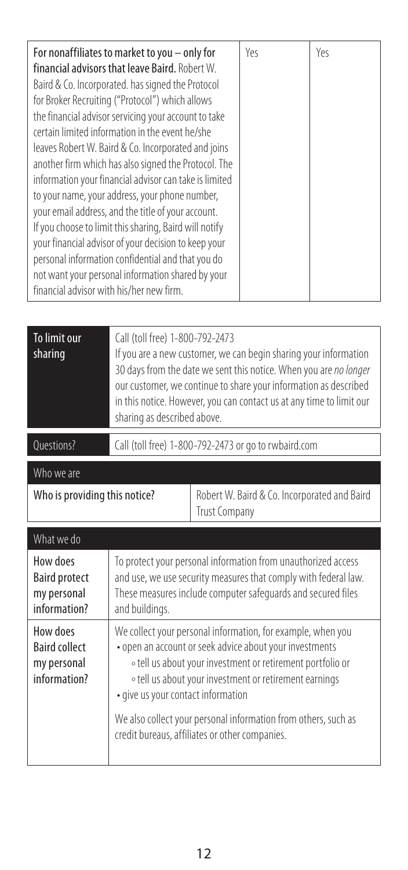| To limit our<br>sharing                                         | Call (toll free) 1-800-792-2473<br>If you are a new customer, we can begin sharing your information<br>30 days from the date we sent this notice. When you are no longer<br>our customer, we continue to share your information as described<br>in this notice. However, you can contact us at any time to limit our<br>sharing as described above.                                                      |                                                                      |  |
|-----------------------------------------------------------------|----------------------------------------------------------------------------------------------------------------------------------------------------------------------------------------------------------------------------------------------------------------------------------------------------------------------------------------------------------------------------------------------------------|----------------------------------------------------------------------|--|
| Questions?                                                      | Call (toll free) 1-800-792-2473 or go to rwbaird.com                                                                                                                                                                                                                                                                                                                                                     |                                                                      |  |
| Who we are                                                      |                                                                                                                                                                                                                                                                                                                                                                                                          |                                                                      |  |
| Who is providing this notice?                                   |                                                                                                                                                                                                                                                                                                                                                                                                          | Robert W. Baird & Co. Incorporated and Baird<br><b>Trust Company</b> |  |
| What we do                                                      |                                                                                                                                                                                                                                                                                                                                                                                                          |                                                                      |  |
| How does<br><b>Baird protect</b><br>my personal<br>information? | To protect your personal information from unauthorized access<br>and use, we use security measures that comply with federal law.<br>These measures include computer safequards and secured files<br>and buildings.                                                                                                                                                                                       |                                                                      |  |
| How does<br><b>Baird collect</b><br>my personal<br>information? | We collect your personal information, for example, when you<br>• open an account or seek advice about your investments<br>o tell us about your investment or retirement portfolio or<br>o tell us about your investment or retirement earnings<br>• give us your contact information<br>We also collect your personal information from others, such as<br>credit bureaus, affiliates or other companies. |                                                                      |  |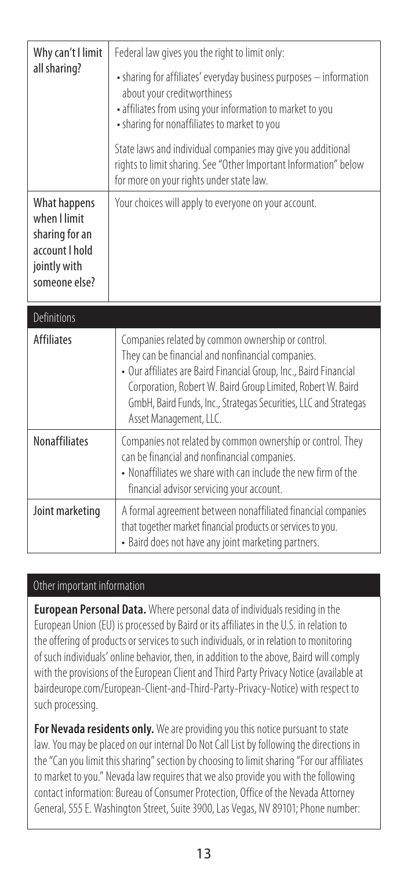| Why can't I limit                                                                                 | Federal law gives you the right to limit only:                                                                                                                                                                                                                                                                                           |
|---------------------------------------------------------------------------------------------------|------------------------------------------------------------------------------------------------------------------------------------------------------------------------------------------------------------------------------------------------------------------------------------------------------------------------------------------|
| all sharing?                                                                                      | • sharing for affiliates' everyday business purposes - information<br>about your creditworthiness<br>· affiliates from using your information to market to you<br>• sharing for nonaffiliates to market to you                                                                                                                           |
|                                                                                                   | State laws and individual companies may give you additional<br>rights to limit sharing. See "Other Important Information" below<br>for more on your rights under state law.                                                                                                                                                              |
| What happens<br>when I limit<br>sharing for an<br>account I hold<br>jointly with<br>someone else? | Your choices will apply to everyone on your account.                                                                                                                                                                                                                                                                                     |
| Definitions                                                                                       |                                                                                                                                                                                                                                                                                                                                          |
| <b>Affiliates</b>                                                                                 | Companies related by common ownership or control.<br>They can be financial and nonfinancial companies.<br>• Our affiliates are Baird Financial Group, Inc., Baird Financial<br>Corporation, Robert W. Baird Group Limited, Robert W. Baird<br>GmbH, Baird Funds, Inc., Strategas Securities, LLC and Strategas<br>Asset Management, LLC. |
| <b>Nonaffiliates</b>                                                                              | Companies not related by common ownership or control. They<br>can be financial and nonfinancial companies.<br>• Nonaffiliates we share with can include the new firm of the<br>financial advisor servicing your account.                                                                                                                 |
| Joint marketing                                                                                   | A formal agreement between nonaffiliated financial companies                                                                                                                                                                                                                                                                             |

#### Other important information

**European Personal Data.** Where personal data of individuals residing in the European Union (EU) is processed by Baird or its affiliates in the U.S. in relation to the offering of products or services to such individuals, or in relation to monitoring of such individuals' online behavior, then, in addition to the above, Baird will comply with the provisions of the European Client and Third Party Privacy Notice (available at bairdeurope.com/European-Client-and-Third-Party-Privacy-Notice) with respect to such processing.

**For Nevada residents only.** We are providing you this notice pursuant to state law. You may be placed on our internal Do Not Call List by following the directions in the "Can you limit this sharing" section by choosing to limit sharing "For our affiliates to market to you." Nevada law requires that we also provide you with the following contact information: Bureau of Consumer Protection, Office of the Nevada Attorney General, 555 E. Washington Street, Suite 3900, Las Vegas, NV 89101; Phone number: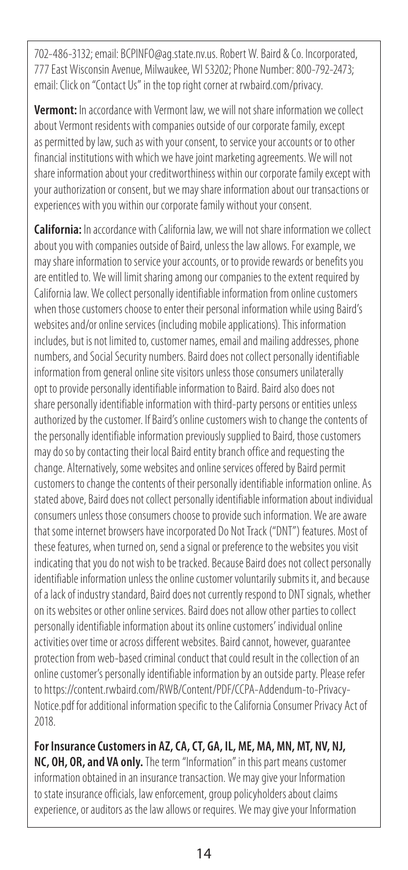702-486-3132; email: BCPINFO@ag.state.nv.us. Robert W. Baird & Co. Incorporated, 777 East Wisconsin Avenue, Milwaukee, WI 53202; Phone Number: 800-792-2473; email: Click on "Contact Us" in the top right corner at rwbaird.com/privacy.

**Vermont:** In accordance with Vermont law, we will not share information we collect about Vermont residents with companies outside of our corporate family, except as permitted by law, such as with your consent, to service your accounts or to other financial institutions with which we have joint marketing agreements. We will not share information about your creditworthiness within our corporate family except with your authorization or consent, but we may share information about our transactions or experiences with you within our corporate family without your consent.

**California:** In accordance with California law, we will not share information we collect about you with companies outside of Baird, unless the law allows. For example, we may share information to service your accounts, or to provide rewards or benefits you are entitled to. We will limit sharing among our companies to the extent required by California law. We collect personally identifiable information from online customers when those customers choose to enter their personal information while using Baird's websites and/or online services (including mobile applications). This information includes, but is not limited to, customer names, email and mailing addresses, phone numbers, and Social Security numbers. Baird does not collect personally identifiable information from general online site visitors unless those consumers unilaterally opt to provide personally identifiable information to Baird. Baird also does not share personally identifiable information with third-party persons or entities unless authorized by the customer. If Baird's online customers wish to change the contents of the personally identifiable information previously supplied to Baird, those customers may do so by contacting their local Baird entity branch office and requesting the change. Alternatively, some websites and online services offered by Baird permit customers to change the contents of their personally identifiable information online. As stated above, Baird does not collect personally identifiable information about individual consumers unless those consumers choose to provide such information. We are aware that some internet browsers have incorporated Do Not Track ("DNT") features. Most of these features, when turned on, send a signal or preference to the websites you visit indicating that you do not wish to be tracked. Because Baird does not collect personally identifiable information unless the online customer voluntarily submits it, and because of a lack of industry standard, Baird does not currently respond to DNT signals, whether on its websites or other online services. Baird does not allow other parties to collect personally identifiable information about its online customers' individual online activities over time or across different websites. Baird cannot, however, guarantee protection from web-based criminal conduct that could result in the collection of an online customer's personally identifiable information by an outside party. Please refer to https://content.rwbaird.com/RWB/Content/PDF/CCPA-Addendum-to-Privacy-Notice.pdf for additional information specific to the California Consumer Privacy Act of 2018.

**For Insurance Customers in AZ, CA, CT, GA, IL, ME, MA, MN, MT, NV, NJ, NC, OH, OR, and VA only.** The term "Information" in this part means customer information obtained in an insurance transaction. We may give your Information to state insurance officials, law enforcement, group policyholders about claims experience, or auditors as the law allows or requires. We may give your Information